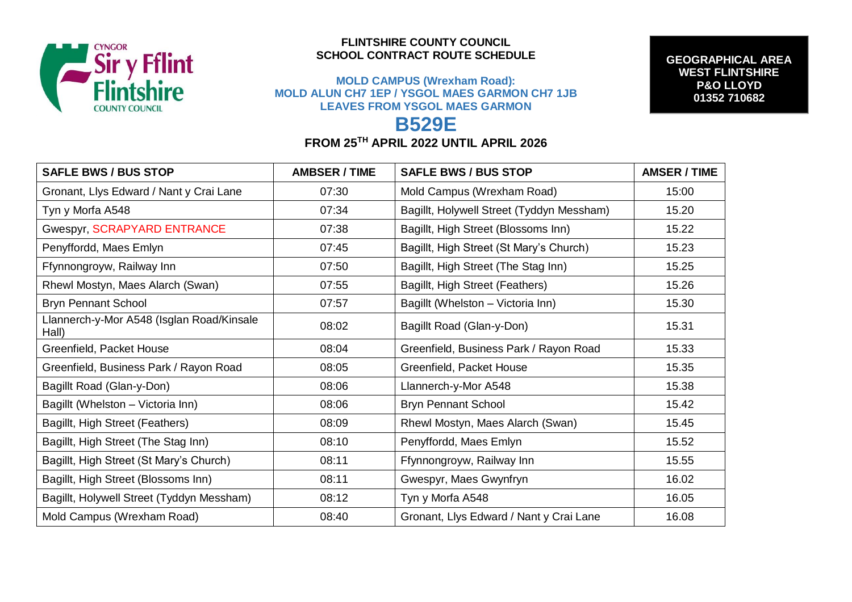

## **FLINTSHIRE COUNTY COUNCIL SCHOOL CONTRACT ROUTE SCHEDULE**

## **MOLD CAMPUS (Wrexham Road): MOLD ALUN CH7 1EP / YSGOL MAES GARMON CH7 1JB LEAVES FROM YSGOL MAES GARMON**

**GEOGRAPHICAL AREA WEST FLINTSHIRE P&O LLOYD 01352 710682**

## **B529E FROM 25TH APRIL 2022 UNTIL APRIL 2026**

| <b>SAFLE BWS / BUS STOP</b>                        | <b>AMBSER / TIME</b> | <b>SAFLE BWS / BUS STOP</b>               | <b>AMSER / TIME</b> |
|----------------------------------------------------|----------------------|-------------------------------------------|---------------------|
| Gronant, Llys Edward / Nant y Crai Lane            | 07:30                | Mold Campus (Wrexham Road)                | 15:00               |
| Tyn y Morfa A548                                   | 07:34                | Bagillt, Holywell Street (Tyddyn Messham) | 15.20               |
| Gwespyr, SCRAPYARD ENTRANCE                        | 07:38                | Bagillt, High Street (Blossoms Inn)       | 15.22               |
| Penyffordd, Maes Emlyn                             | 07:45                | Bagillt, High Street (St Mary's Church)   | 15.23               |
| Ffynnongroyw, Railway Inn                          | 07:50                | Bagillt, High Street (The Stag Inn)       | 15.25               |
| Rhewl Mostyn, Maes Alarch (Swan)                   | 07:55                | Bagillt, High Street (Feathers)           | 15.26               |
| <b>Bryn Pennant School</b>                         | 07:57                | Bagillt (Whelston - Victoria Inn)         | 15.30               |
| Llannerch-y-Mor A548 (Isglan Road/Kinsale<br>Hall) | 08:02                | Bagillt Road (Glan-y-Don)                 | 15.31               |
| Greenfield, Packet House                           | 08:04                | Greenfield, Business Park / Rayon Road    | 15.33               |
| Greenfield, Business Park / Rayon Road             | 08:05                | Greenfield, Packet House                  | 15.35               |
| Bagillt Road (Glan-y-Don)                          | 08:06                | Llannerch-y-Mor A548                      | 15.38               |
| Bagillt (Whelston – Victoria Inn)                  | 08:06                | <b>Bryn Pennant School</b>                | 15.42               |
| Bagillt, High Street (Feathers)                    | 08:09                | Rhewl Mostyn, Maes Alarch (Swan)          | 15.45               |
| Bagillt, High Street (The Stag Inn)                | 08:10                | Penyffordd, Maes Emlyn                    | 15.52               |
| Bagillt, High Street (St Mary's Church)            | 08:11                | Ffynnongroyw, Railway Inn                 | 15.55               |
| Bagillt, High Street (Blossoms Inn)                | 08:11                | Gwespyr, Maes Gwynfryn                    | 16.02               |
| Bagillt, Holywell Street (Tyddyn Messham)          | 08:12                | Tyn y Morfa A548                          | 16.05               |
| Mold Campus (Wrexham Road)                         | 08:40                | Gronant, Llys Edward / Nant y Crai Lane   | 16.08               |